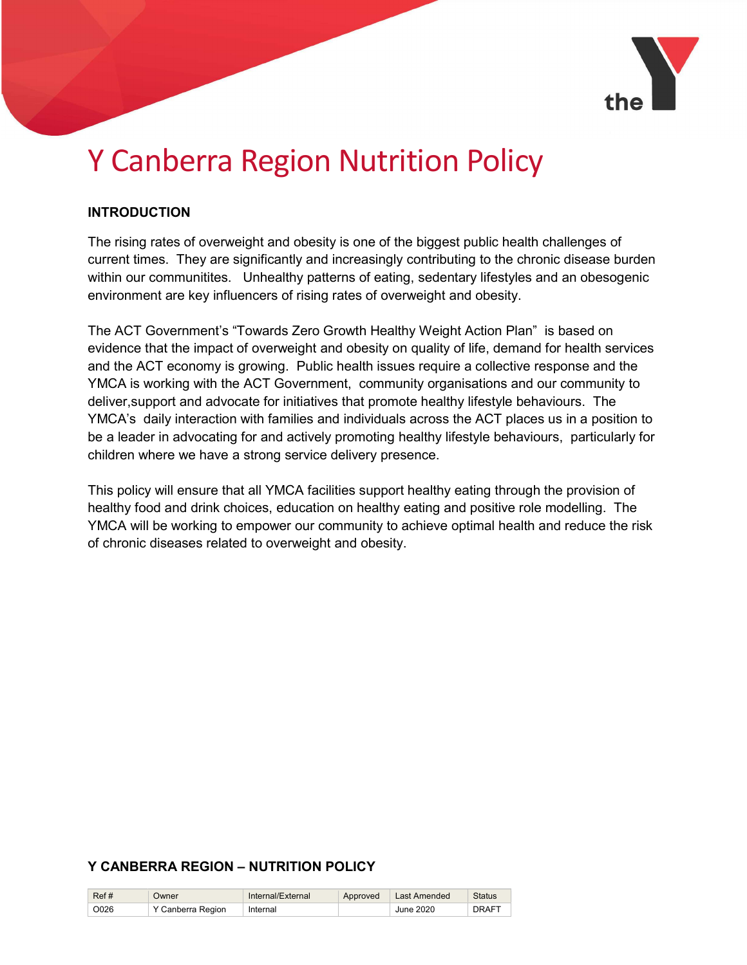

# Y Canberra Region Nutrition Policy

#### INTRODUCTION

The rising rates of overweight and obesity is one of the biggest public health challenges of current times. They are significantly and increasingly contributing to the chronic disease burden within our communitites. Unhealthy patterns of eating, sedentary lifestyles and an obesogenic environment are key influencers of rising rates of overweight and obesity.

The ACT Government's "Towards Zero Growth Healthy Weight Action Plan" is based on evidence that the impact of overweight and obesity on quality of life, demand for health services and the ACT economy is growing. Public health issues require a collective response and the YMCA is working with the ACT Government, community organisations and our community to deliver,support and advocate for initiatives that promote healthy lifestyle behaviours. The YMCA's daily interaction with families and individuals across the ACT places us in a position to be a leader in advocating for and actively promoting healthy lifestyle behaviours, particularly for children where we have a strong service delivery presence.

This policy will ensure that all YMCA facilities support healthy eating through the provision of healthy food and drink choices, education on healthy eating and positive role modelling. The YMCA will be working to empower our community to achieve optimal health and reduce the risk of chronic diseases related to overweight and obesity.

#### Y CANBERRA REGION – NUTRITION POLICY

| Ref# | <b>Jwner</b>      | Internal/External | Approved | Last Amended | <b>Status</b> |
|------|-------------------|-------------------|----------|--------------|---------------|
| O026 | Y Canberra Region | Internal          |          | June 2020    | <b>DRAFT</b>  |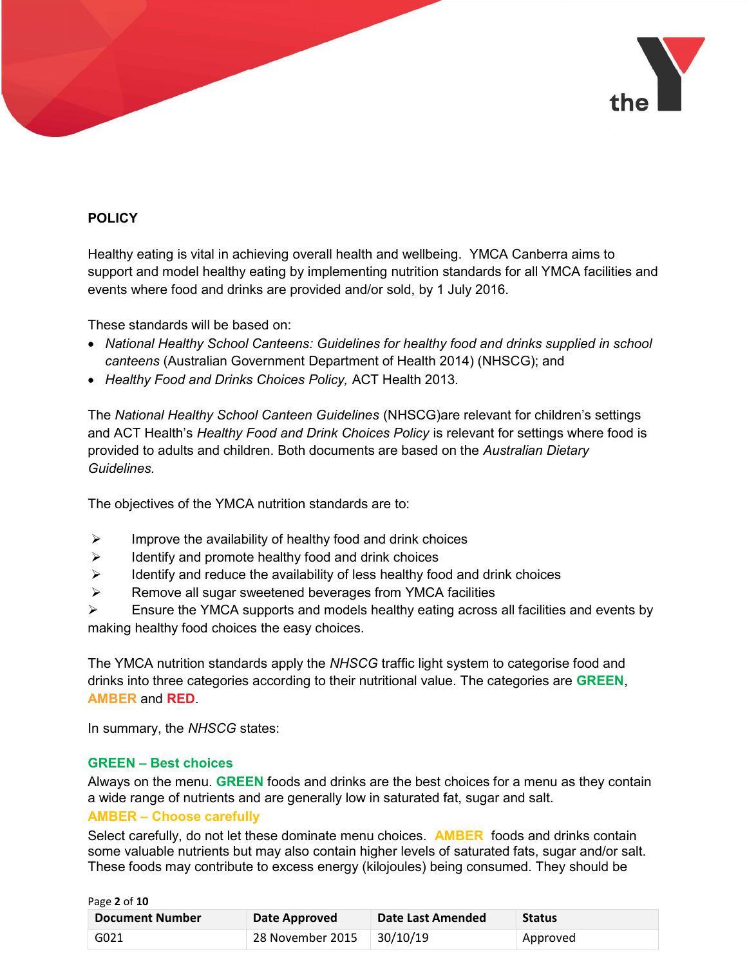

## **POLICY**

Healthy eating is vital in achieving overall health and wellbeing. YMCA Canberra aims to support and model healthy eating by implementing nutrition standards for all YMCA facilities and events where food and drinks are provided and/or sold, by 1 July 2016.

These standards will be based on:

- National Healthy School Canteens: Guidelines for healthy food and drinks supplied in school canteens (Australian Government Department of Health 2014) (NHSCG); and
- Healthy Food and Drinks Choices Policy, ACT Health 2013.

The National Healthy School Canteen Guidelines (NHSCG)are relevant for children's settings and ACT Health's Healthy Food and Drink Choices Policy is relevant for settings where food is provided to adults and children. Both documents are based on the Australian Dietary Guidelines.

The objectives of the YMCA nutrition standards are to:

- $\triangleright$  Improve the availability of healthy food and drink choices
- $\triangleright$  Identify and promote healthy food and drink choices
- $\triangleright$  Identify and reduce the availability of less healthy food and drink choices
- $\triangleright$  Remove all sugar sweetened beverages from YMCA facilities
- $\triangleright$  Ensure the YMCA supports and models healthy eating across all facilities and events by making healthy food choices the easy choices.

The YMCA nutrition standards apply the NHSCG traffic light system to categorise food and drinks into three categories according to their nutritional value. The categories are **GREEN**, AMBER and RED.

In summary, the NHSCG states:

#### GREEN – Best choices

Always on the menu. GREEN foods and drinks are the best choices for a menu as they contain a wide range of nutrients and are generally low in saturated fat, sugar and salt.

#### AMBER – Choose carefully

Select carefully, do not let these dominate menu choices. **AMBER** foods and drinks contain some valuable nutrients but may also contain higher levels of saturated fats, sugar and/or salt. These foods may contribute to excess energy (kilojoules) being consumed. They should be

| Page 2 of 10           |                  |                   |               |
|------------------------|------------------|-------------------|---------------|
| <b>Document Number</b> | Date Approved    | Date Last Amended | <b>Status</b> |
| G021                   | 28 November 2015 | 30/10/19          | Approved      |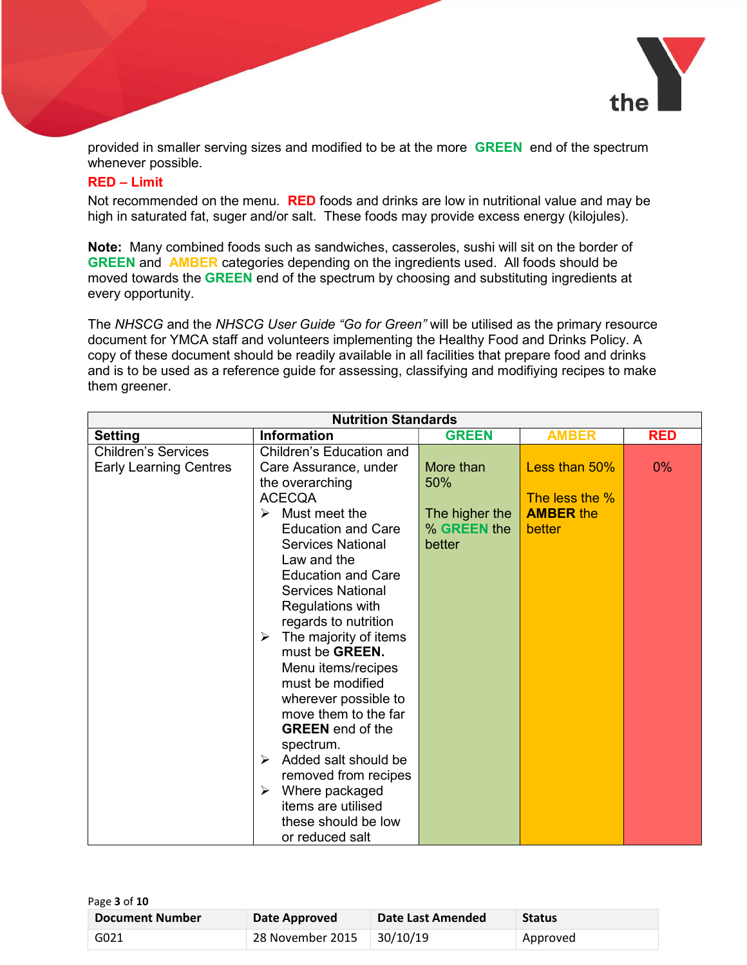

provided in smaller serving sizes and modified to be at the more **GREEN** end of the spectrum whenever possible.

#### RED – Limit

Not recommended on the menu. RED foods and drinks are low in nutritional value and may be high in saturated fat, suger and/or salt. These foods may provide excess energy (kilojules).

Note: Many combined foods such as sandwiches, casseroles, sushi will sit on the border of GREEN and AMBER categories depending on the ingredients used. All foods should be moved towards the **GREEN** end of the spectrum by choosing and substituting ingredients at every opportunity.

The NHSCG and the NHSCG User Guide "Go for Green" will be utilised as the primary resource document for YMCA staff and volunteers implementing the Healthy Food and Drinks Policy. A copy of these document should be readily available in all facilities that prepare food and drinks and is to be used as a reference guide for assessing, classifying and modifiying recipes to make them greener.

| <b>Nutrition Standards</b>                                  |                                                                                                                                                                                                                                                                                                                                                                                                                                                                                                                                                                                           |                                                |                                              |            |
|-------------------------------------------------------------|-------------------------------------------------------------------------------------------------------------------------------------------------------------------------------------------------------------------------------------------------------------------------------------------------------------------------------------------------------------------------------------------------------------------------------------------------------------------------------------------------------------------------------------------------------------------------------------------|------------------------------------------------|----------------------------------------------|------------|
| <b>Setting</b>                                              | <b>Information</b>                                                                                                                                                                                                                                                                                                                                                                                                                                                                                                                                                                        | <b>GREEN</b>                                   | <b>AMBER</b>                                 | <b>RED</b> |
| <b>Children's Services</b><br><b>Early Learning Centres</b> | Children's Education and<br>Care Assurance, under                                                                                                                                                                                                                                                                                                                                                                                                                                                                                                                                         | More than                                      | Less than 50%                                | $0\%$      |
|                                                             | the overarching<br><b>ACECQA</b><br>Must meet the<br>➤<br><b>Education and Care</b><br><b>Services National</b><br>Law and the<br><b>Education and Care</b><br><b>Services National</b><br>Regulations with<br>regards to nutrition<br>$\triangleright$ The majority of items<br>must be GREEN.<br>Menu items/recipes<br>must be modified<br>wherever possible to<br>move them to the far<br><b>GREEN</b> end of the<br>spectrum.<br>$\triangleright$ Added salt should be<br>removed from recipes<br>Where packaged<br>≻<br>items are utilised<br>these should be low<br>or reduced salt | 50%<br>The higher the<br>% GREEN the<br>better | The less the %<br><b>AMBER the</b><br>better |            |

| Page 3 of 10           |                  |                   |               |
|------------------------|------------------|-------------------|---------------|
| <b>Document Number</b> | Date Approved    | Date Last Amended | <b>Status</b> |
| G021                   | 28 November 2015 | 30/10/19          | Approved      |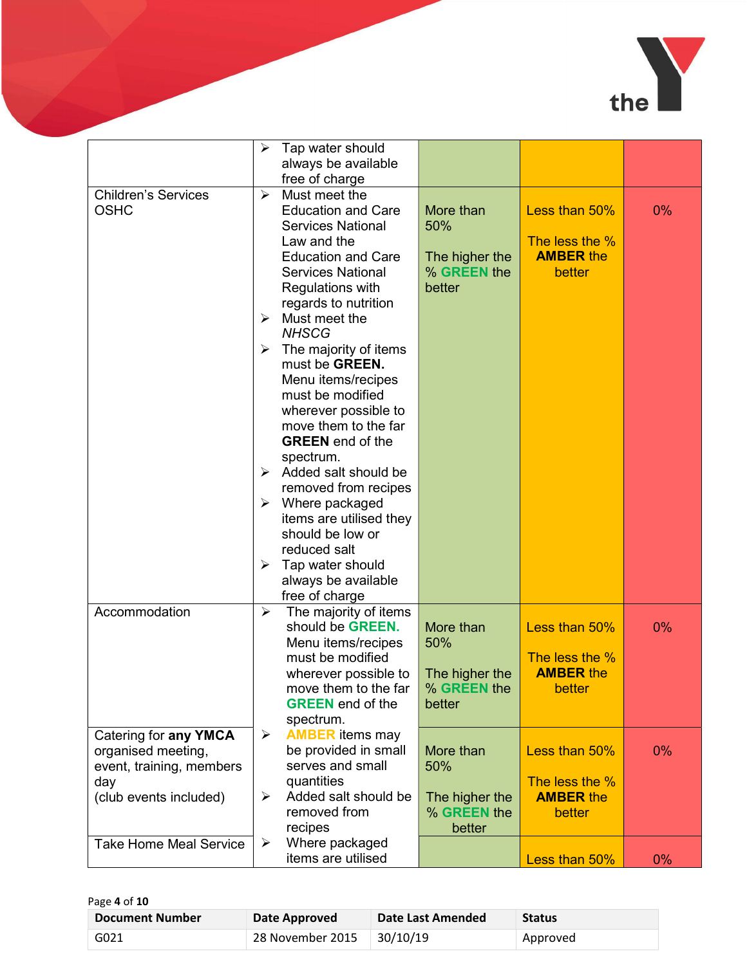

|                               | ➤ | Tap water should                        |                |                  |       |
|-------------------------------|---|-----------------------------------------|----------------|------------------|-------|
|                               |   | always be available                     |                |                  |       |
|                               |   | free of charge                          |                |                  |       |
| <b>Children's Services</b>    | ➤ | Must meet the                           |                |                  |       |
| <b>OSHC</b>                   |   | <b>Education and Care</b>               | More than      | Less than 50%    | 0%    |
|                               |   | <b>Services National</b>                | 50%            |                  |       |
|                               |   | Law and the                             |                | The less the $%$ |       |
|                               |   | <b>Education and Care</b>               | The higher the | <b>AMBER the</b> |       |
|                               |   | <b>Services National</b>                | % GREEN the    | better           |       |
|                               |   | Regulations with                        | better         |                  |       |
|                               |   | regards to nutrition                    |                |                  |       |
|                               | ➤ | Must meet the                           |                |                  |       |
|                               |   | <b>NHSCG</b>                            |                |                  |       |
|                               |   |                                         |                |                  |       |
|                               | ➤ | The majority of items<br>must be GREEN. |                |                  |       |
|                               |   |                                         |                |                  |       |
|                               |   | Menu items/recipes<br>must be modified  |                |                  |       |
|                               |   | wherever possible to                    |                |                  |       |
|                               |   | move them to the far                    |                |                  |       |
|                               |   | <b>GREEN</b> end of the                 |                |                  |       |
|                               |   | spectrum.                               |                |                  |       |
|                               |   | $\triangleright$ Added salt should be   |                |                  |       |
|                               |   | removed from recipes                    |                |                  |       |
|                               |   | $\triangleright$ Where packaged         |                |                  |       |
|                               |   | items are utilised they                 |                |                  |       |
|                               |   | should be low or                        |                |                  |       |
|                               |   | reduced salt                            |                |                  |       |
|                               | ➤ | Tap water should                        |                |                  |       |
|                               |   | always be available                     |                |                  |       |
|                               |   | free of charge                          |                |                  |       |
| Accommodation                 | ➤ | The majority of items                   |                |                  |       |
|                               |   | should be GREEN.                        | More than      | Less than 50%    | 0%    |
|                               |   | Menu items/recipes                      | 50%            |                  |       |
|                               |   | must be modified                        |                | The less the %   |       |
|                               |   | wherever possible to                    | The higher the | <b>AMBER the</b> |       |
|                               |   | move them to the far                    | % GREEN the    | better           |       |
|                               |   | <b>GREEN</b> end of the                 | better         |                  |       |
|                               |   | spectrum.                               |                |                  |       |
| Catering for any YMCA         | ➤ | <b>AMBER</b> items may                  |                |                  |       |
| organised meeting,            |   | be provided in small                    | More than      | Less than 50%    | $0\%$ |
| event, training, members      |   | serves and small                        | 50%            |                  |       |
| day                           |   | quantities                              |                | The less the %   |       |
| (club events included)        | ➤ | Added salt should be                    | The higher the | <b>AMBER the</b> |       |
|                               |   | removed from                            | % GREEN the    | better           |       |
|                               |   | recipes                                 | better         |                  |       |
| <b>Take Home Meal Service</b> | ➤ | Where packaged                          |                |                  |       |
|                               |   | items are utilised                      |                | Less than 50%    | $0\%$ |

Page 4 of 10

| <b>Document Number</b> | Date Approved             | Date Last Amended | <b>Status</b> |
|------------------------|---------------------------|-------------------|---------------|
| G021                   | 28 November 2015 30/10/19 |                   | Approved      |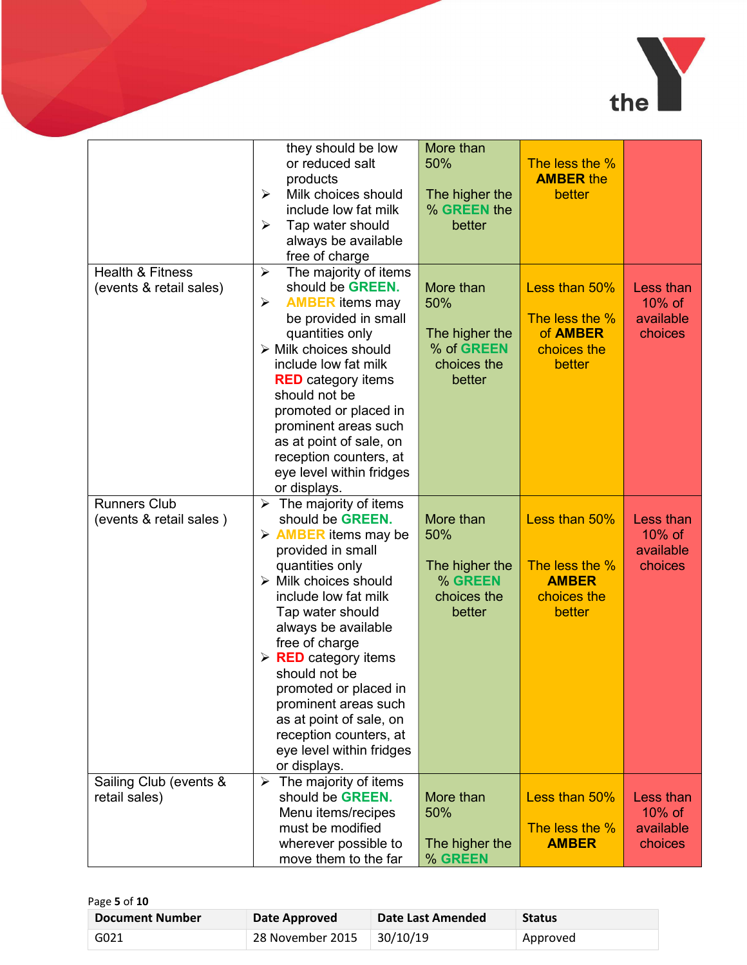

|                             | they should be low                             | More than                 |                                |           |
|-----------------------------|------------------------------------------------|---------------------------|--------------------------------|-----------|
|                             | or reduced salt                                | 50%                       | The less the %                 |           |
|                             | products                                       |                           | <b>AMBER the</b>               |           |
|                             | Milk choices should<br>➤                       | The higher the            | better                         |           |
|                             | include low fat milk                           | % GREEN the               |                                |           |
|                             | Tap water should<br>➤                          | better                    |                                |           |
|                             | always be available                            |                           |                                |           |
|                             | free of charge                                 |                           |                                |           |
| <b>Health &amp; Fitness</b> | The majority of items<br>➤                     |                           |                                |           |
| (events & retail sales)     | should be GREEN.                               | More than                 | Less than 50%                  | Less than |
|                             | <b>AMBER</b> items may<br>➤                    | 50%                       |                                | $10\%$ of |
|                             | be provided in small                           |                           | The less the %                 | available |
|                             | quantities only                                | The higher the            | of <b>AMBER</b>                | choices   |
|                             | $\triangleright$ Milk choices should           | % of GREEN                | choices the                    |           |
|                             | include low fat milk                           | choices the               | better                         |           |
|                             | <b>RED</b> category items                      | better                    |                                |           |
|                             | should not be                                  |                           |                                |           |
|                             | promoted or placed in                          |                           |                                |           |
|                             | prominent areas such                           |                           |                                |           |
|                             | as at point of sale, on                        |                           |                                |           |
|                             | reception counters, at                         |                           |                                |           |
|                             | eye level within fridges                       |                           |                                |           |
|                             | or displays.                                   |                           |                                |           |
| <b>Runners Club</b>         | $\triangleright$ The majority of items         |                           |                                |           |
| (events & retail sales)     | should be GREEN.                               | More than                 | Less than 50%                  | Less than |
|                             | $\triangleright$ <b>AMBER</b> items may be     | 50%                       |                                | 10% of    |
|                             | provided in small                              |                           |                                | available |
|                             | quantities only                                | The higher the<br>% GREEN | The less the %<br><b>AMBER</b> | choices   |
|                             | $\triangleright$ Milk choices should           |                           |                                |           |
|                             | include low fat milk                           | choices the<br>better     | choices the<br>better          |           |
|                             | Tap water should                               |                           |                                |           |
|                             | always be available<br>free of charge          |                           |                                |           |
|                             | $\triangleright$ <b>RED</b> category items     |                           |                                |           |
|                             | should not be                                  |                           |                                |           |
|                             | promoted or placed in                          |                           |                                |           |
|                             | prominent areas such                           |                           |                                |           |
|                             | as at point of sale, on                        |                           |                                |           |
|                             | reception counters, at                         |                           |                                |           |
|                             | eye level within fridges                       |                           |                                |           |
|                             | or displays.                                   |                           |                                |           |
| Sailing Club (events &      | The majority of items<br>$\blacktriangleright$ |                           |                                |           |
| retail sales)               | should be GREEN.                               | More than                 | Less than 50%                  | Less than |
|                             | Menu items/recipes                             | 50%                       |                                | 10% of    |
|                             | must be modified                               |                           | The less the %                 | available |
|                             | wherever possible to                           | The higher the            | <b>AMBER</b>                   | choices   |
|                             | move them to the far                           | % GREEN                   |                                |           |

| Page 5 of 10 |  |  |
|--------------|--|--|
|              |  |  |

| <b>Document Number</b> | Date Approved               | Date Last Amended | <b>Status</b> |
|------------------------|-----------------------------|-------------------|---------------|
| G021                   | 28 November 2015   30/10/19 |                   | Approved      |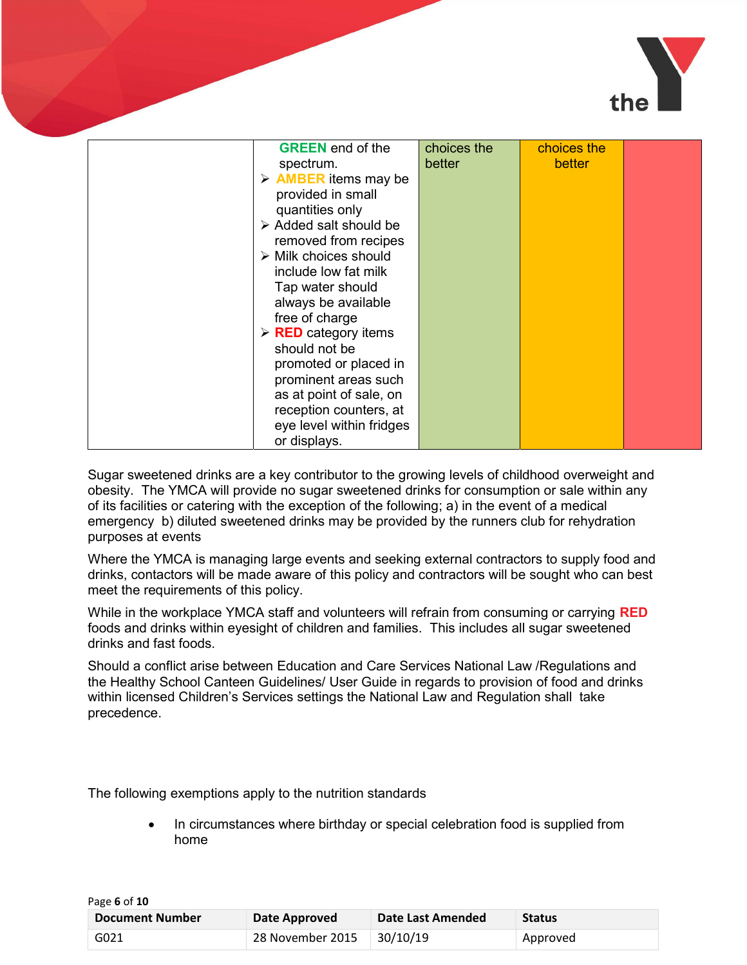

| <b>GREEN</b> end of the                    | choices the | choices the |  |
|--------------------------------------------|-------------|-------------|--|
| spectrum.                                  | better      | better      |  |
| $\triangleright$ <b>AMBER</b> items may be |             |             |  |
| provided in small                          |             |             |  |
| quantities only                            |             |             |  |
| Added salt should be                       |             |             |  |
| removed from recipes                       |             |             |  |
| $\triangleright$ Milk choices should       |             |             |  |
| include low fat milk                       |             |             |  |
| Tap water should                           |             |             |  |
| always be available                        |             |             |  |
| free of charge                             |             |             |  |
| $\triangleright$ <b>RED</b> category items |             |             |  |
| should not be                              |             |             |  |
| promoted or placed in                      |             |             |  |
| prominent areas such                       |             |             |  |
| as at point of sale, on                    |             |             |  |
| reception counters, at                     |             |             |  |
| eye level within fridges                   |             |             |  |
| or displays.                               |             |             |  |

Sugar sweetened drinks are a key contributor to the growing levels of childhood overweight and obesity. The YMCA will provide no sugar sweetened drinks for consumption or sale within any of its facilities or catering with the exception of the following; a) in the event of a medical emergency b) diluted sweetened drinks may be provided by the runners club for rehydration purposes at events

Where the YMCA is managing large events and seeking external contractors to supply food and drinks, contactors will be made aware of this policy and contractors will be sought who can best meet the requirements of this policy.

While in the workplace YMCA staff and volunteers will refrain from consuming or carrying RED foods and drinks within eyesight of children and families. This includes all sugar sweetened drinks and fast foods.

Should a conflict arise between Education and Care Services National Law /Regulations and the Healthy School Canteen Guidelines/ User Guide in regards to provision of food and drinks within licensed Children's Services settings the National Law and Regulation shall take precedence.

The following exemptions apply to the nutrition standards

 In circumstances where birthday or special celebration food is supplied from home

| Page 6 of 10           |                  |                   |               |
|------------------------|------------------|-------------------|---------------|
| <b>Document Number</b> | Date Approved    | Date Last Amended | <b>Status</b> |
| G021                   | 28 November 2015 | 30/10/19          | Approved      |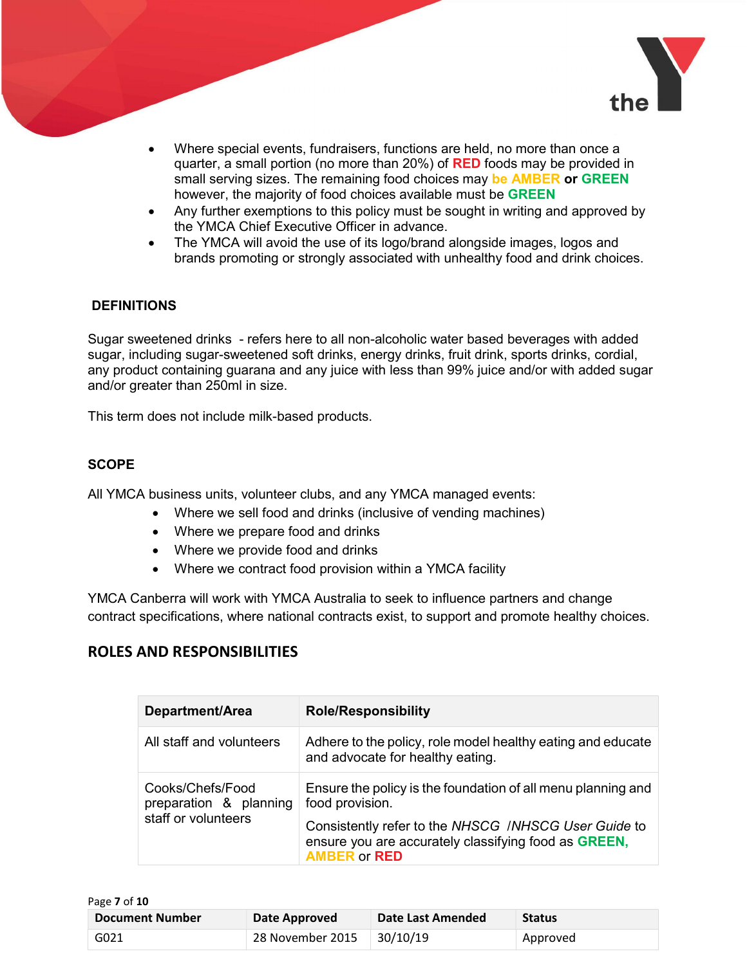

- Where special events, fundraisers, functions are held, no more than once a quarter, a small portion (no more than 20%) of **RED** foods may be provided in small serving sizes. The remaining food choices may be AMBER or GREEN however, the majority of food choices available must be GREEN
- Any further exemptions to this policy must be sought in writing and approved by the YMCA Chief Executive Officer in advance.
- The YMCA will avoid the use of its logo/brand alongside images, logos and brands promoting or strongly associated with unhealthy food and drink choices.

#### **DEFINITIONS**

Sugar sweetened drinks - refers here to all non-alcoholic water based beverages with added sugar, including sugar-sweetened soft drinks, energy drinks, fruit drink, sports drinks, cordial, any product containing guarana and any juice with less than 99% juice and/or with added sugar and/or greater than 250ml in size.

This term does not include milk-based products.

#### **SCOPE**

All YMCA business units, volunteer clubs, and any YMCA managed events:

- Where we sell food and drinks (inclusive of vending machines)
- Where we prepare food and drinks
- Where we provide food and drinks
- Where we contract food provision within a YMCA facility

YMCA Canberra will work with YMCA Australia to seek to influence partners and change contract specifications, where national contracts exist, to support and promote healthy choices.

# ROLES AND RESPONSIBILITIES

| Department/Area                                                   | <b>Role/Responsibility</b>                                                                                                                                                                                             |
|-------------------------------------------------------------------|------------------------------------------------------------------------------------------------------------------------------------------------------------------------------------------------------------------------|
| All staff and volunteers                                          | Adhere to the policy, role model healthy eating and educate<br>and advocate for healthy eating.                                                                                                                        |
| Cooks/Chefs/Food<br>preparation & planning<br>staff or volunteers | Ensure the policy is the foundation of all menu planning and<br>food provision.<br>Consistently refer to the NHSCG /NHSCG User Guide to<br>ensure you are accurately classifying food as GREEN,<br><b>AMBER or RED</b> |

| Page 7 of 10           |                  |                   |               |
|------------------------|------------------|-------------------|---------------|
| <b>Document Number</b> | Date Approved    | Date Last Amended | <b>Status</b> |
| G021                   | 28 November 2015 | 30/10/19          | Approved      |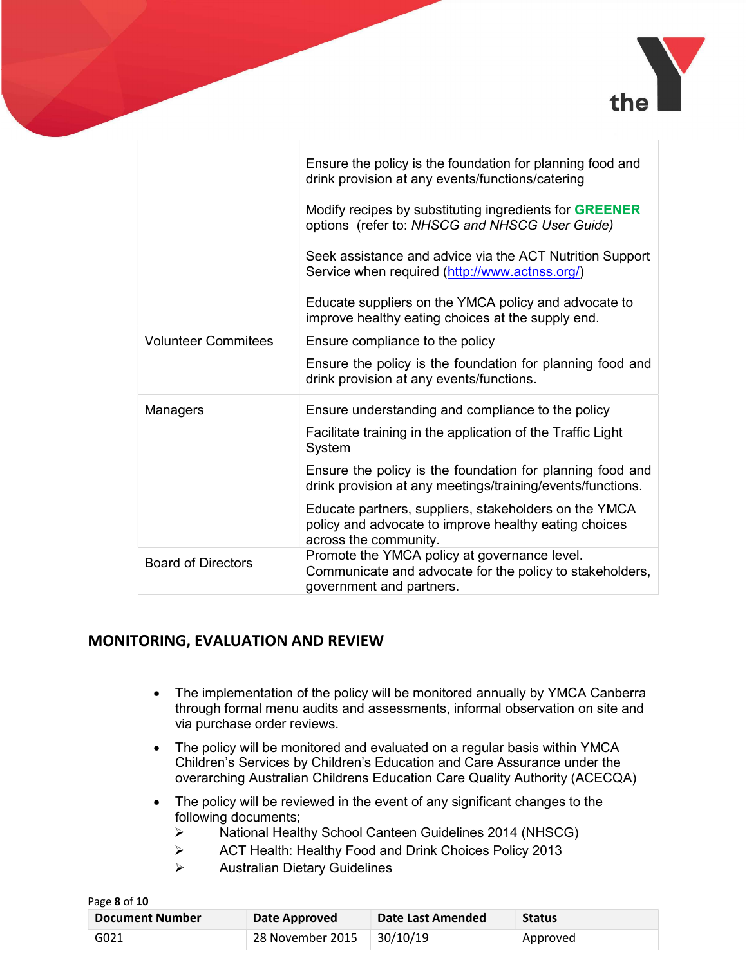

|                            | Ensure the policy is the foundation for planning food and<br>drink provision at any events/functions/catering                           |  |  |
|----------------------------|-----------------------------------------------------------------------------------------------------------------------------------------|--|--|
|                            | Modify recipes by substituting ingredients for <b>GREENER</b><br>options (refer to: NHSCG and NHSCG User Guide)                         |  |  |
|                            | Seek assistance and advice via the ACT Nutrition Support<br>Service when required (http://www.actnss.org/)                              |  |  |
|                            | Educate suppliers on the YMCA policy and advocate to<br>improve healthy eating choices at the supply end.                               |  |  |
| <b>Volunteer Commitees</b> | Ensure compliance to the policy                                                                                                         |  |  |
|                            | Ensure the policy is the foundation for planning food and<br>drink provision at any events/functions.                                   |  |  |
| Managers                   | Ensure understanding and compliance to the policy                                                                                       |  |  |
|                            | Facilitate training in the application of the Traffic Light<br>System                                                                   |  |  |
|                            | Ensure the policy is the foundation for planning food and<br>drink provision at any meetings/training/events/functions.                 |  |  |
|                            | Educate partners, suppliers, stakeholders on the YMCA<br>policy and advocate to improve healthy eating choices<br>across the community. |  |  |
| <b>Board of Directors</b>  | Promote the YMCA policy at governance level.<br>Communicate and advocate for the policy to stakeholders,<br>government and partners.    |  |  |

# MONITORING, EVALUATION AND REVIEW

- The implementation of the policy will be monitored annually by YMCA Canberra through formal menu audits and assessments, informal observation on site and via purchase order reviews.
- The policy will be monitored and evaluated on a regular basis within YMCA Children's Services by Children's Education and Care Assurance under the overarching Australian Childrens Education Care Quality Authority (ACECQA)
- The policy will be reviewed in the event of any significant changes to the following documents;
	- National Healthy School Canteen Guidelines 2014 (NHSCG)
	- ACT Health: Healthy Food and Drink Choices Policy 2013
	- Australian Dietary Guidelines

| Page 8 of 10           |                  |                   |               |
|------------------------|------------------|-------------------|---------------|
| <b>Document Number</b> | Date Approved    | Date Last Amended | <b>Status</b> |
| G021                   | 28 November 2015 | 30/10/19          | Approved      |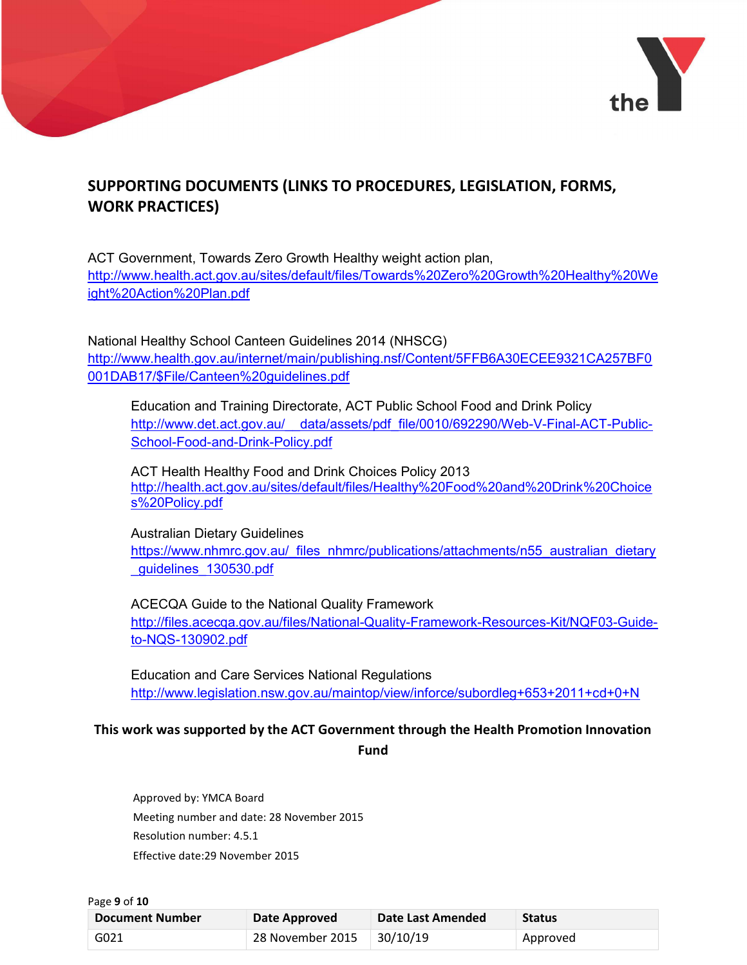

# SUPPORTING DOCUMENTS (LINKS TO PROCEDURES, LEGISLATION, FORMS, WORK PRACTICES)

ACT Government, Towards Zero Growth Healthy weight action plan, http://www.health.act.gov.au/sites/default/files/Towards%20Zero%20Growth%20Healthy%20We ight%20Action%20Plan.pdf

National Healthy School Canteen Guidelines 2014 (NHSCG) http://www.health.gov.au/internet/main/publishing.nsf/Content/5FFB6A30ECEE9321CA257BF0 001DAB17/\$File/Canteen%20guidelines.pdf

Education and Training Directorate, ACT Public School Food and Drink Policy http://www.det.act.gov.au/ data/assets/pdf file/0010/692290/Web-V-Final-ACT-Public-School-Food-and-Drink-Policy.pdf

ACT Health Healthy Food and Drink Choices Policy 2013 http://health.act.gov.au/sites/default/files/Healthy%20Food%20and%20Drink%20Choice s%20Policy.pdf

Australian Dietary Guidelines https://www.nhmrc.gov.au/\_files\_nhmrc/publications/attachments/n55\_australian\_dietary \_guidelines\_130530.pdf

ACECQA Guide to the National Quality Framework http://files.acecqa.gov.au/files/National-Quality-Framework-Resources-Kit/NQF03-Guideto-NQS-130902.pdf

Education and Care Services National Regulations http://www.legislation.nsw.gov.au/maintop/view/inforce/subordleg+653+2011+cd+0+N

### This work was supported by the ACT Government through the Health Promotion Innovation Fund

Approved by: YMCA Board Meeting number and date: 28 November 2015 Resolution number: 4.5.1 Effective date:29 November 2015

| Page 9 of 10                            |                  |                   |               |
|-----------------------------------------|------------------|-------------------|---------------|
| <b>Document Number</b><br>Date Approved |                  | Date Last Amended | <b>Status</b> |
| G021                                    | 28 November 2015 | 30/10/19          | Approved      |